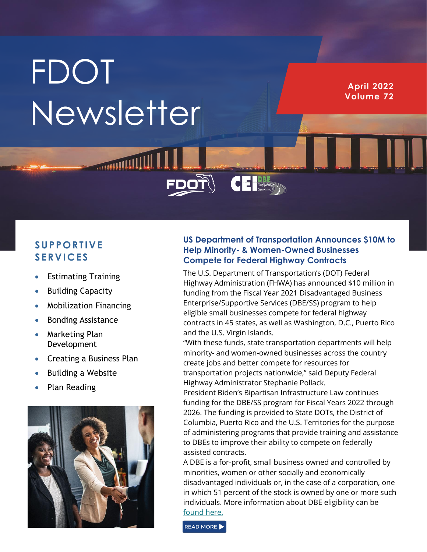# **FDOT** Newsletter

**HITTIINANIO** 

**April 2022 Volume 72**

## **S UP P O RT IVE S ERV IC ES**

- Estimating Training
- Building Capacity
- Mobilization Financing
- Bonding Assistance
- Marketing Plan Development
- Creating a Business Plan
- Building a Website
- Plan Reading



## **US Department of Transportation Announces \$10M to Help Minority- & Women-Owned Businesses Compete for Federal Highway Contracts**

 $\overline{\textbf{C}}$   $\overline{\textbf{E}}$   $\overline{\text{Suppose}}$ 

The U.S. Department of Transportation's (DOT) Federal Highway Administration (FHWA) has announced \$10 million in funding from the Fiscal Year 2021 Disadvantaged Business Enterprise/Supportive Services (DBE/SS) program to help eligible small businesses compete for federal highway contracts in 45 states, as well as Washington, D.C., Puerto Rico and the U.S. Virgin Islands.

"With these funds, state transportation departments will help minority- and women-owned businesses across the country create jobs and better compete for resources for transportation projects nationwide," said Deputy Federal Highway Administrator Stephanie Pollack.

President Biden's Bipartisan Infrastructure Law continues funding for the DBE/SS program for Fiscal Years 2022 through 2026. The funding is provided to State DOTs, the District of Columbia, Puerto Rico and the U.S. Territories for the purpose of administering programs that provide training and assistance to DBEs to improve their ability to compete on federally assisted contracts.

A DBE is a for-profit, small business owned and controlled by minorities, women or other socially and economically disadvantaged individuals or, in the case of a corporation, one in which 51 percent of the stock is owned by one or more such individuals. More information about DBE eligibility can be [found here.](https://www.transportation.gov/civil-rights/disadvantaged-business-enterprise)

READ MORE